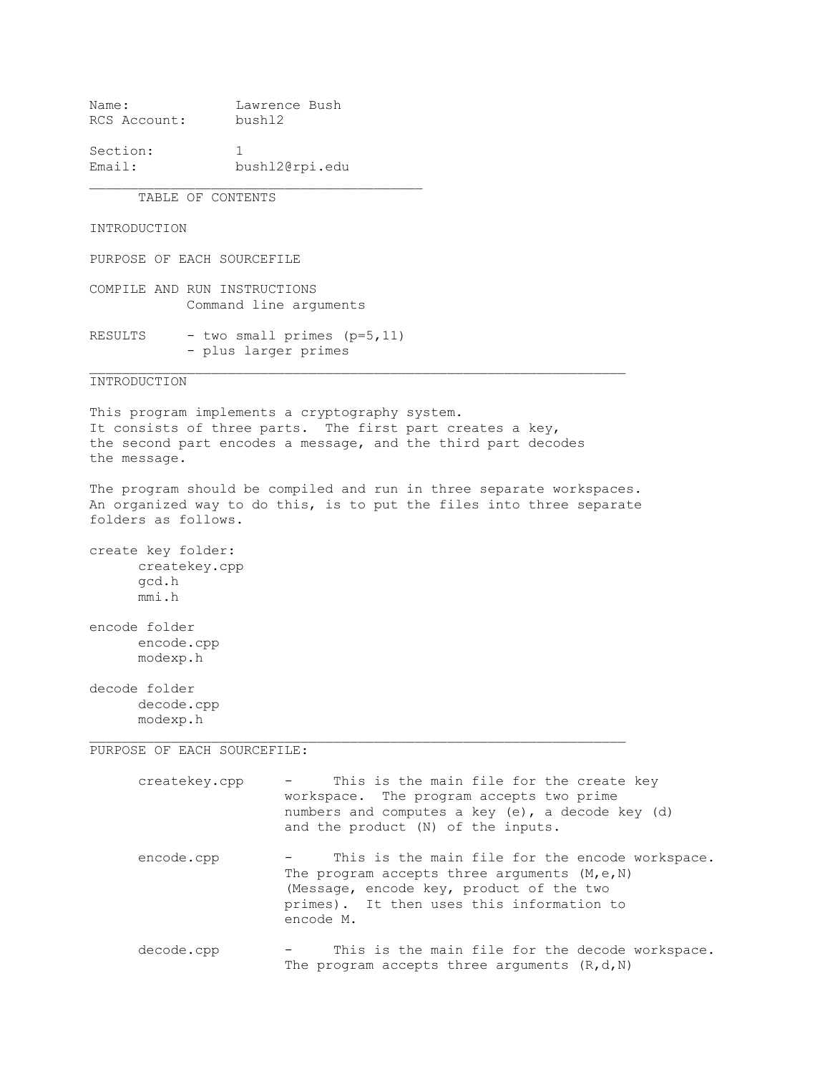Name: Lawrence Bush RCS Account: bushl2

Section: 1 Email: bushl2@rpi.edu

TABLE OF CONTENTS

INTRODUCTION

PURPOSE OF EACH SOURCEFILE

COMPILE AND RUN INSTRUCTIONS Command line arguments

RESULTS - two small primes  $(p=5,11)$ - plus larger primes

INTRODUCTION

This program implements a cryptography system. It consists of three parts. The first part creates a key, the second part encodes a message, and the third part decodes the message.

The program should be compiled and run in three separate workspaces. An organized way to do this, is to put the files into three separate folders as follows.

 $\_$  , and the set of the set of the set of the set of the set of the set of the set of the set of the set of the set of the set of the set of the set of the set of the set of the set of the set of the set of the set of th

create key folder: createkey.cpp gcd.h mmi.h

encode folder encode.cpp modexp.h

decode folder decode.cpp modexp.h

PURPOSE OF EACH SOURCEFILE:

createkey.cpp - This is the main file for the create key workspace. The program accepts two prime numbers and computes a key (e), a decode key (d) and the product (N) of the inputs. encode.cpp - This is the main file for the encode workspace. The program accepts three arguments  $(M, e, N)$  (Message, encode key, product of the two primes). It then uses this information to encode M. decode.cpp - This is the main file for the decode workspace. The program accepts three arguments  $(R, d, N)$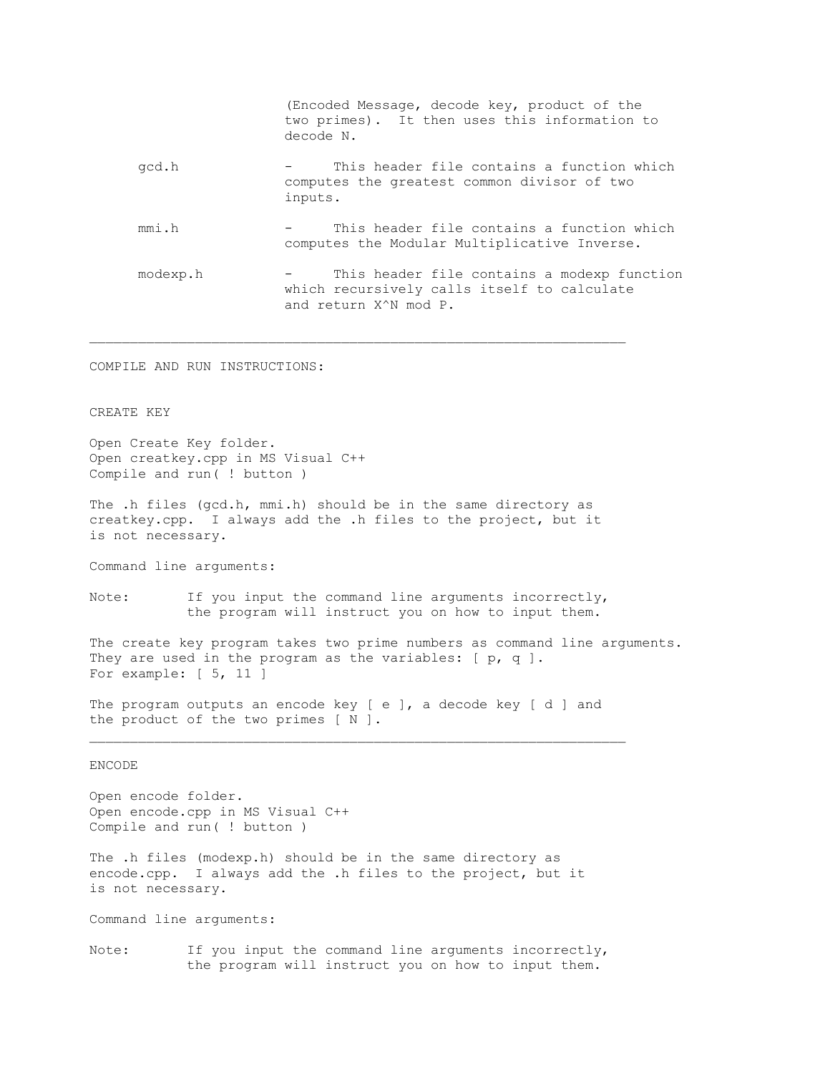|       |          | (Encoded Message, decode key, product of the<br>two primes). It then uses this information to<br>decode N.                       |
|-------|----------|----------------------------------------------------------------------------------------------------------------------------------|
| gcd.h |          | This header file contains a function which<br>computes the greatest common divisor of two<br>inputs.                             |
| mmi.h |          | This header file contains a function which<br>computes the Modular Multiplicative Inverse.                                       |
|       | modexp.h | This header file contains a modexp function<br>which recursively calls itself to calculate<br>and return X <sup>^</sup> N mod P. |

COMPILE AND RUN INSTRUCTIONS:

CREATE KEY

Open Create Key folder. Open creatkey.cpp in MS Visual C++ Compile and run( ! button )

The .h files (gcd.h, mmi.h) should be in the same directory as creatkey.cpp. I always add the .h files to the project, but it is not necessary.

Command line arguments:

Note: If you input the command line arguments incorrectly, the program will instruct you on how to input them.

The create key program takes two prime numbers as command line arguments. They are used in the program as the variables: [ p, q ]. For example: [ 5, 11 ]

The program outputs an encode key [ e ], a decode key [ d ] and the product of the two primes [ N ].

## ENCODE

Open encode folder. Open encode.cpp in MS Visual C++ Compile and run( ! button )

The .h files (modexp.h) should be in the same directory as encode.cpp. I always add the .h files to the project, but it is not necessary.

Command line arguments:

Note: If you input the command line arguments incorrectly, the program will instruct you on how to input them.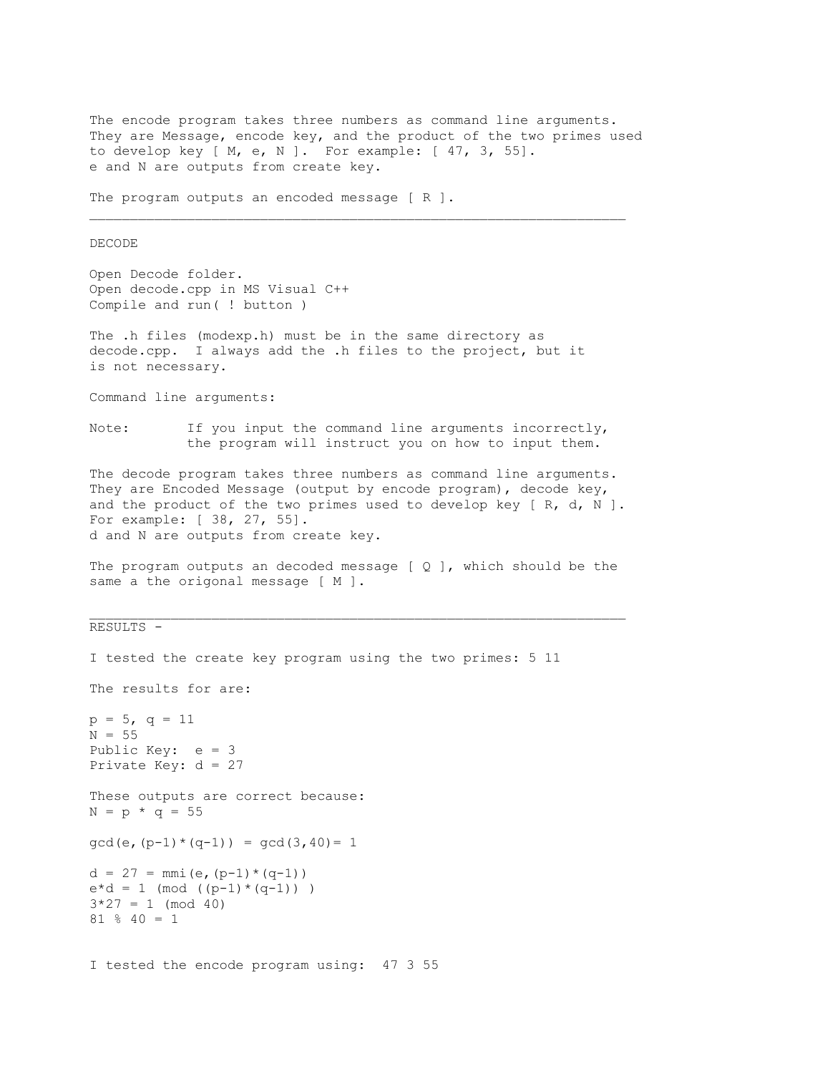The encode program takes three numbers as command line arguments. They are Message, encode key, and the product of the two primes used to develop key [ M, e, N ]. For example: [ 47, 3, 55]. e and N are outputs from create key. The program outputs an encoded message [ R ].  $\_$  , and the set of the set of the set of the set of the set of the set of the set of the set of the set of the set of the set of the set of the set of the set of the set of the set of the set of the set of the set of th DECODE Open Decode folder. Open decode.cpp in MS Visual C++ Compile and run( ! button ) The .h files (modexp.h) must be in the same directory as decode.cpp. I always add the .h files to the project, but it is not necessary. Command line arguments: Note: If you input the command line arguments incorrectly, the program will instruct you on how to input them. The decode program takes three numbers as command line arguments. They are Encoded Message (output by encode program), decode key, and the product of the two primes used to develop key  $[ R, d, N ]$ . For example: [ 38, 27, 55]. d and N are outputs from create key. The program outputs an decoded message  $[Q]$ , which should be the same a the origonal message [ M ]. RESULTS - I tested the create key program using the two primes: 5 11 The results for are:  $p = 5$ ,  $q = 11$  $N = 55$ Public Key: e = 3 Private Key: d = 27 These outputs are correct because:  $N = p * q = 55$  $gcd(e, (p-1)*(q-1)) = gcd(3, 40) = 1$  $d = 27 = mmi(e, (p-1)*(q-1))$  $e^{*}d = 1$  (mod ((p-1)\*(q-1)))  $3*27 = 1 \pmod{40}$ 81 % 40 = 1 I tested the encode program using: 47 3 55